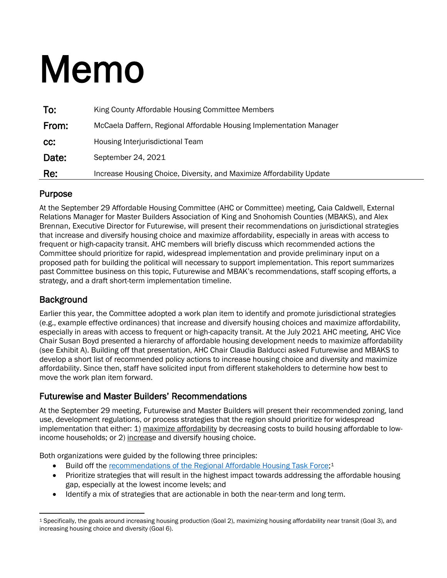# Memo

| To:   | King County Affordable Housing Committee Members                      |
|-------|-----------------------------------------------------------------------|
| From: | McCaela Daffern, Regional Affordable Housing Implementation Manager   |
| CC.   | Housing Interjurisdictional Team                                      |
| Date: | September 24, 2021                                                    |
| Re:   | Increase Housing Choice, Diversity, and Maximize Affordability Update |

### Purpose

At the September 29 Affordable Housing Committee (AHC or Committee) meeting, Caia Caldwell, External Relations Manager for Master Builders Association of King and Snohomish Counties (MBAKS), and Alex Brennan, Executive Director for Futurewise, will present their recommendations on jurisdictional strategies that increase and diversify housing choice and maximize affordability, especially in areas with access to frequent or high-capacity transit. AHC members will briefly discuss which recommended actions the Committee should prioritize for rapid, widespread implementation and provide preliminary input on a proposed path for building the political will necessary to support implementation. This report summarizes past Committee business on this topic, Futurewise and MBAK's recommendations, staff scoping efforts, a strategy, and a draft short-term implementation timeline.

### **Background**

Earlier this year, the Committee adopted a work plan item to identify and promote jurisdictional strategies (e.g., example effective ordinances) that increase and diversify housing choices and maximize affordability, especially in areas with access to frequent or high-capacity transit. At the July 2021 AHC meeting, AHC Vice Chair Susan Boyd presented a hierarchy of affordable housing development needs to maximize affordability (see Exhibit A). Building off that presentation, AHC Chair Claudia Balducci asked Futurewise and MBAKS to develop a short list of recommended policy actions to increase housing choice and diversity and maximize affordability. Since then, staff have solicited input from different stakeholders to determine how best to move the work plan item forward.

### Futurewise and Master Builders' Recommendations

At the September 29 meeting, Futurewise and Master Builders will present their recommended zoning, land use, development regulations, or process strategies that the region should prioritize for widespread implementation that either: 1) maximize affordability by decreasing costs to build housing affordable to lowincome households; or 2) increase and diversify housing choice.

Both organizations were guided by the following three principles:

- Build off the [recommendations of the Regional Affordable Housing Task Force;](https://kingcounty.gov/depts/community-human-services/housing/%7E/media/depts/community-human-services/housing-homelessness-community-development/documents/affordable-housing-committee/RAH_Report_Print_File_Updated_10,-d-,28,-d-,19.ashx?la=en)<sup>[1](#page-0-0)</sup>
- Prioritize strategies that will result in the highest impact towards addressing the affordable housing gap, especially at the lowest income levels; and
- Identify a mix of strategies that are actionable in both the near-term and long term.

<span id="page-0-0"></span><sup>1</sup> Specifically, the goals around increasing housing production (Goal 2), maximizing housing affordability near transit (Goal 3), and increasing housing choice and diversity (Goal 6).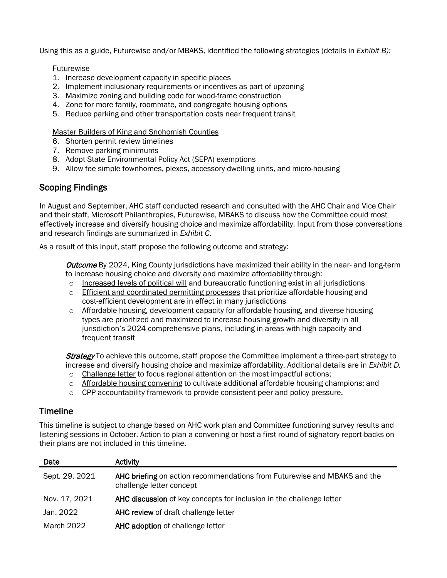Using this as a guide, Futurewise and/or MBAKS, identified the following strategies (details in *Exhibit B):*

### Futurewise

- 1. Increase development capacity in specific places
- 2. Implement inclusionary requirements or incentives as part of upzoning
- 3. Maximize zoning and building code for wood-frame construction
- 4. Zone for more family, roommate, and congregate housing options
- 5. Reduce parking and other transportation costs near frequent transit

#### Master Builders of King and Snohomish Counties

- 6. Shorten permit review timelines
- 7. Remove parking minimums
- 8. Adopt State Environmental Policy Act (SEPA) exemptions
- 9. Allow fee simple townhomes, plexes, accessory dwelling units, and micro-housing

### Scoping Findings

In August and September, AHC staff conducted research and consulted with the AHC Chair and Vice Chair and their staff, Microsoft Philanthropies, Futurewise, MBAKS to discuss how the Committee could most effectively increase and diversify housing choice and maximize affordability. Input from those conversations and research findings are summarized in *Exhibit C*.

As a result of this input, staff propose the following outcome and strategy:

Outcome By 2024, King County jurisdictions have maximized their ability in the near- and long-term to increase housing choice and diversity and maximize affordability through:

- $\circ$  Increased levels of political will and bureaucratic functioning exist in all jurisdictions
- o Efficient and coordinated permitting processes that prioritize affordable housing and cost-efficient development are in effect in many jurisdictions
- o Affordable housing, development capacity for affordable housing, and diverse housing types are prioritized and maximized to increase housing growth and diversity in all jurisdiction's 2024 comprehensive plans, including in areas with high capacity and frequent transit

**Strategy** To achieve this outcome, staff propose the Committee implement a three-part strategy to increase and diversify housing choice and maximize affordability. Additional details are in *Exhibit D.*

- $\circ$  Challenge letter to focus regional attention on the most impactful actions;
- $\circ$  Affordable housing convening to cultivate additional affordable housing champions; and
- $\circ$  CPP accountability framework to provide consistent peer and policy pressure.

### Timeline

This timeline is subject to change based on AHC work plan and Committee functioning survey results and listening sessions in October. Action to plan a convening or host a first round of signatory report-backs on their plans are not included in this timeline.

| Date           | Activity                                                                                             |
|----------------|------------------------------------------------------------------------------------------------------|
| Sept. 29, 2021 | AHC briefing on action recommendations from Futurewise and MBAKS and the<br>challenge letter concept |
| Nov. 17, 2021  | AHC discussion of key concepts for inclusion in the challenge letter                                 |
| Jan. 2022      | AHC review of draft challenge letter                                                                 |
| March 2022     | AHC adoption of challenge letter                                                                     |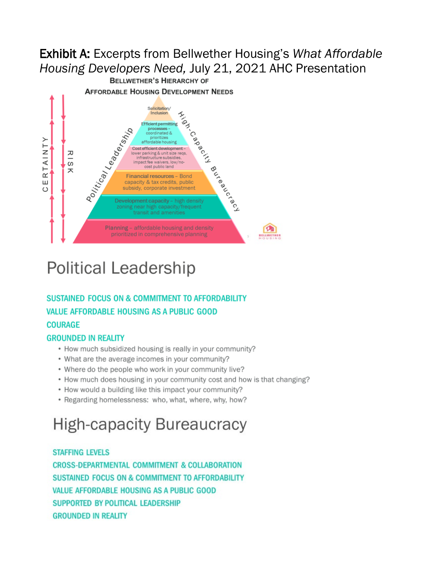#### Exhibit A: Excerpts from Bellwether Housing's *What Affordable Housing Developers Need,* July 21, 2021 AHC Presentation**AFFORDABLE HOUSING DEVELOPMENT NEEDS** Solicitation/ A-ION Inclusion Political Cadres Million fficient permitting inated & Capacity nrioritizes RTAINTY Cost efficient development - $\frac{R}{S}$ er parking & unit size reqs. Routled Creek impact fee waivers, low/nocost public land ᄎ Financial resources - Bond Ш capacity & tax credits, public  $\circ$ subsidy, corporate investment Development capacity - high density zoning near high capacity/frequent transit and amenities Planning - affordable housing and density m prioritized in comprehensive planning ELLWETHER

# **Political Leadership**

### **SUSTAINED FOCUS ON & COMMITMENT TO AFFORDABILITY VALUE AFFORDABLE HOUSING AS A PUBLIC GOOD COURAGE**

### **GROUNDED IN REALITY**

- How much subsidized housing is really in your community?
- What are the average incomes in your community?
- Where do the people who work in your community live?
- How much does housing in your community cost and how is that changing?
- How would a building like this impact your community?
- Regarding homelessness: who, what, where, why, how?

# **High-capacity Bureaucracy**

### **STAFFING LEVELS**

CROSS-DEPARTMENTAL COMMITMENT & COLLABORATION **SUSTAINED FOCUS ON & COMMITMENT TO AFFORDABILITY** VALUE AFFORDABLE HOUSING AS A PUBLIC GOOD SUPPORTED BY POLITICAL LEADERSHIP **GROUNDED IN REALITY**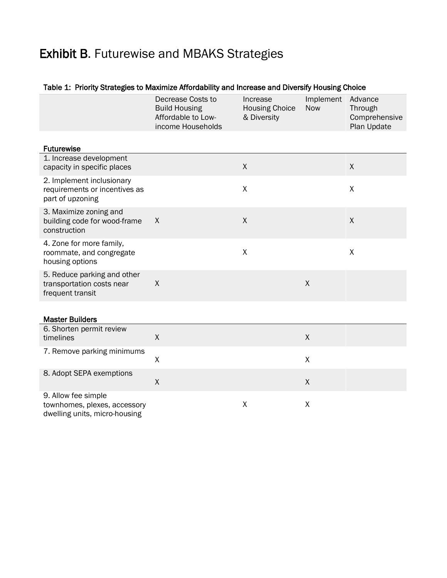### Exhibit B. Futurewise and MBAKS Strategies

### Table 1: Priority Strategies to Maximize Affordability and Increase and Diversify Housing Choice

|                                                                                      | Decrease Costs to<br><b>Build Housing</b><br>Affordable to Low-<br>income Households | Increase<br><b>Housing Choice</b><br>& Diversity | Implement<br><b>Now</b> | Advance<br>Through<br>Comprehensive<br>Plan Update |
|--------------------------------------------------------------------------------------|--------------------------------------------------------------------------------------|--------------------------------------------------|-------------------------|----------------------------------------------------|
| <b>Futurewise</b>                                                                    |                                                                                      |                                                  |                         |                                                    |
| 1. Increase development<br>capacity in specific places                               |                                                                                      | X                                                |                         | X                                                  |
| 2. Implement inclusionary<br>requirements or incentives as<br>part of upzoning       |                                                                                      | $\pmb{\chi}$                                     |                         | $\sf X$                                            |
| 3. Maximize zoning and<br>building code for wood-frame<br>construction               | X                                                                                    | $\mathsf X$                                      |                         | $\mathsf X$                                        |
| 4. Zone for more family,<br>roommate, and congregate<br>housing options              |                                                                                      | $\pmb{\mathsf{X}}$                               |                         | $\sf X$                                            |
| 5. Reduce parking and other<br>transportation costs near<br>frequent transit         | $\pmb{\mathsf{X}}$                                                                   |                                                  | $\mathsf{X}$            |                                                    |
| <b>Master Builders</b>                                                               |                                                                                      |                                                  |                         |                                                    |
|                                                                                      |                                                                                      |                                                  |                         |                                                    |
| 6. Shorten permit review<br>timelines                                                | $\mathsf X$                                                                          |                                                  | $\pmb{\mathsf{X}}$      |                                                    |
| 7. Remove parking minimums                                                           | X                                                                                    |                                                  | X                       |                                                    |
| 8. Adopt SEPA exemptions                                                             | $\mathsf{X}$                                                                         |                                                  | X                       |                                                    |
| 9. Allow fee simple<br>townhomes, plexes, accessory<br>dwelling units, micro-housing |                                                                                      | X                                                | X                       |                                                    |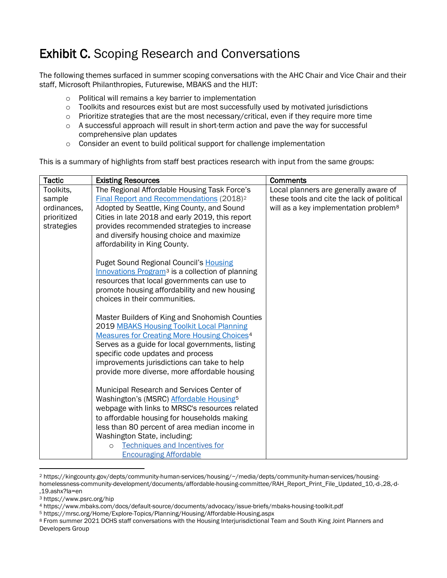### Exhibit C. Scoping Research and Conversations

The following themes surfaced in summer scoping conversations with the AHC Chair and Vice Chair and their staff, Microsoft Philanthropies, Futurewise, MBAKS and the HIJT:

- o Political will remains a key barrier to implementation
- o Toolkits and resources exist but are most successfully used by motivated jurisdictions
- o Prioritize strategies that are the most necessary/critical, even if they require more time
- $\circ$  A successful approach will result in short-term action and pave the way for successful comprehensive plan updates
- $\circ$  Consider an event to build political support for challenge implementation

This is a summary of highlights from staff best practices research with input from the same groups:

| <b>Tactic</b> | <b>Existing Resources</b>                                     | <b>Comments</b>                                   |
|---------------|---------------------------------------------------------------|---------------------------------------------------|
| Toolkits,     | The Regional Affordable Housing Task Force's                  | Local planners are generally aware of             |
| sample        | Final Report and Recommendations (2018) <sup>2</sup>          | these tools and cite the lack of political        |
| ordinances,   | Adopted by Seattle, King County, and Sound                    | will as a key implementation problem <sup>8</sup> |
| prioritized   | Cities in late 2018 and early 2019, this report               |                                                   |
| strategies    | provides recommended strategies to increase                   |                                                   |
|               | and diversify housing choice and maximize                     |                                                   |
|               | affordability in King County.                                 |                                                   |
|               | <b>Puget Sound Regional Council's Housing</b>                 |                                                   |
|               | Innovations Program <sup>3</sup> is a collection of planning  |                                                   |
|               | resources that local governments can use to                   |                                                   |
|               | promote housing affordability and new housing                 |                                                   |
|               | choices in their communities.                                 |                                                   |
|               |                                                               |                                                   |
|               | Master Builders of King and Snohomish Counties                |                                                   |
|               | 2019 MBAKS Housing Toolkit Local Planning                     |                                                   |
|               | <b>Measures for Creating More Housing Choices<sup>4</sup></b> |                                                   |
|               | Serves as a guide for local governments, listing              |                                                   |
|               | specific code updates and process                             |                                                   |
|               | improvements jurisdictions can take to help                   |                                                   |
|               | provide more diverse, more affordable housing                 |                                                   |
|               | Municipal Research and Services Center of                     |                                                   |
|               | Washington's (MSRC) Affordable Housing <sup>5</sup>           |                                                   |
|               | webpage with links to MRSC's resources related                |                                                   |
|               | to affordable housing for households making                   |                                                   |
|               | less than 80 percent of area median income in                 |                                                   |
|               | Washington State, including:                                  |                                                   |
|               | Techniques and Incentives for<br>$\Omega$                     |                                                   |
|               | <b>Encouraging Affordable</b>                                 |                                                   |

<span id="page-4-0"></span><sup>2</sup> https://kingcounty.gov/depts/community-human-services/housing/~/media/depts/community-human-services/housinghomelessness-community-development/documents/affordable-housing-committee/RAH\_Report\_Print\_File\_Updated\_10,-d-,28,-d- ,19.ashx?la=en

<span id="page-4-1"></span><sup>3</sup> https://www.psrc.org/hip

<span id="page-4-2"></span><sup>4</sup> https://www.mbaks.com/docs/default-source/documents/advocacy/issue-briefs/mbaks-housing-toolkit.pdf

<span id="page-4-3"></span><sup>5</sup> https://mrsc.org/Home/Explore-Topics/Planning/Housing/Affordable-Housing.aspx

<span id="page-4-4"></span><sup>8</sup> From summer 2021 DCHS staff conversations with the Housing Interjurisdictional Team and South King Joint Planners and Developers Group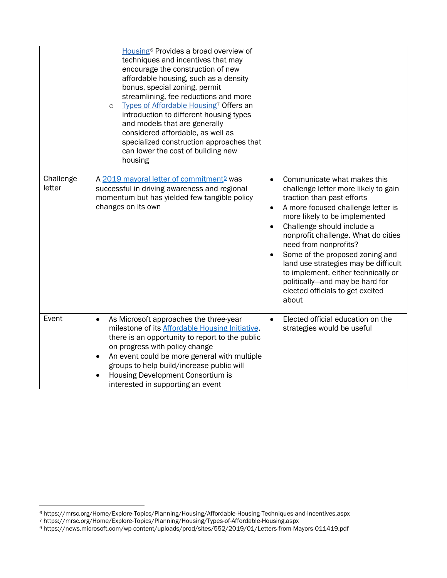|                     | Housing <sup>6</sup> Provides a broad overview of<br>techniques and incentives that may<br>encourage the construction of new<br>affordable housing, such as a density<br>bonus, special zoning, permit<br>streamlining, fee reductions and more<br>Types of Affordable Housing <sup>7</sup> Offers an<br>$\circ$<br>introduction to different housing types<br>and models that are generally<br>considered affordable, as well as<br>specialized construction approaches that<br>can lower the cost of building new<br>housing |                                                                                                                                                                                                                                                                                                                                                                                                                                                                                                                              |
|---------------------|--------------------------------------------------------------------------------------------------------------------------------------------------------------------------------------------------------------------------------------------------------------------------------------------------------------------------------------------------------------------------------------------------------------------------------------------------------------------------------------------------------------------------------|------------------------------------------------------------------------------------------------------------------------------------------------------------------------------------------------------------------------------------------------------------------------------------------------------------------------------------------------------------------------------------------------------------------------------------------------------------------------------------------------------------------------------|
| Challenge<br>letter | A 2019 mayoral letter of commitment <sup>9</sup> was<br>successful in driving awareness and regional<br>momentum but has yielded few tangible policy<br>changes on its own                                                                                                                                                                                                                                                                                                                                                     | Communicate what makes this<br>$\bullet$<br>challenge letter more likely to gain<br>traction than past efforts<br>A more focused challenge letter is<br>$\bullet$<br>more likely to be implemented<br>Challenge should include a<br>$\bullet$<br>nonprofit challenge. What do cities<br>need from nonprofits?<br>Some of the proposed zoning and<br>$\bullet$<br>land use strategies may be difficult<br>to implement, either technically or<br>politically-and may be hard for<br>elected officials to get excited<br>about |
| Event               | As Microsoft approaches the three-year<br>$\bullet$<br>milestone of its <b>Affordable Housing Initiative</b> ,<br>there is an opportunity to report to the public<br>on progress with policy change<br>An event could be more general with multiple<br>$\bullet$<br>groups to help build/increase public will<br>Housing Development Consortium is<br>interested in supporting an event                                                                                                                                        | Elected official education on the<br>$\bullet$<br>strategies would be useful                                                                                                                                                                                                                                                                                                                                                                                                                                                 |

<span id="page-5-0"></span><sup>6</sup> https://mrsc.org/Home/Explore-Topics/Planning/Housing/Affordable-Housing-Techniques-and-Incentives.aspx

<span id="page-5-1"></span><sup>7</sup> https://mrsc.org/Home/Explore-Topics/Planning/Housing/Types-of-Affordable-Housing.aspx

<span id="page-5-2"></span><sup>9</sup> https://news.microsoft.com/wp-content/uploads/prod/sites/552/2019/01/Letters-from-Mayors-011419.pdf